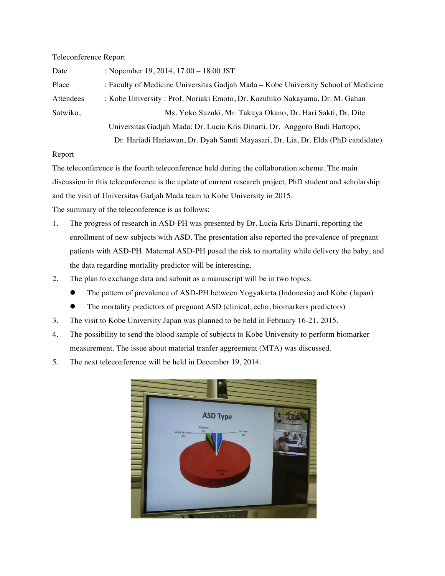## Teleconference Report

| Date      | : Nopember 19, 2014, $17.00 - 18.00$ JST                                           |
|-----------|------------------------------------------------------------------------------------|
| Place     | : Faculty of Medicine Universitas Gadjah Mada – Kobe University School of Medicine |
| Attendees | : Kobe University: Prof. Noriaki Emoto, Dr. Kazuhiko Nakayama, Dr. M. Gahan        |
| Satwiko,  | Ms. Yoko Suzuki, Mr. Takuya Okano, Dr. Hari Sakti, Dr. Dite                        |
|           | Universitas Gadjah Mada: Dr. Lucia Kris Dinarti, Dr. Anggoro Budi Hartopo,         |
|           | Dr. Hariadi Hariawan, Dr. Dyah Samti Mayasari, Dr. Lia, Dr. Elda (PhD candidate)   |

## Report

The teleconference is the fourth teleconference held during the collaboration scheme. The main discussion in this teleconference is the update of current research project, PhD student and scholarship and the visit of Universitas Gadjah Mada team to Kobe University in 2015.

The summary of the teleconference is as follows:

- 1. The progress of research in ASD-PH was presented by Dr. Lucia Kris Dinarti, reporting the enrollment of new subjects with ASD. The presentation also reported the prevalence of pregnant patients with ASD-PH. Maternal ASD-PH posed the risk to mortality while delivery the baby, and the data regarding mortality predictor will be interesting.
- 2. The plan to exchange data and submit as a manuscript will be in two topics:
	- ! The pattern of prevalence of ASD-PH between Yogyakarta (Indonesia) and Kobe (Japan)
	- ! The mortality predictors of pregnant ASD (clinical, echo, biomarkers predictors)
- 3. The visit to Kobe University Japan was planned to be held in February 16-21, 2015.
- 4. The possibility to send the blood sample of subjects to Kobe University to perform biomarker measurement. The issue about material tranfer aggreement (MTA) was discussed.
- 5. The next teleconference will be held in December 19, 2014.